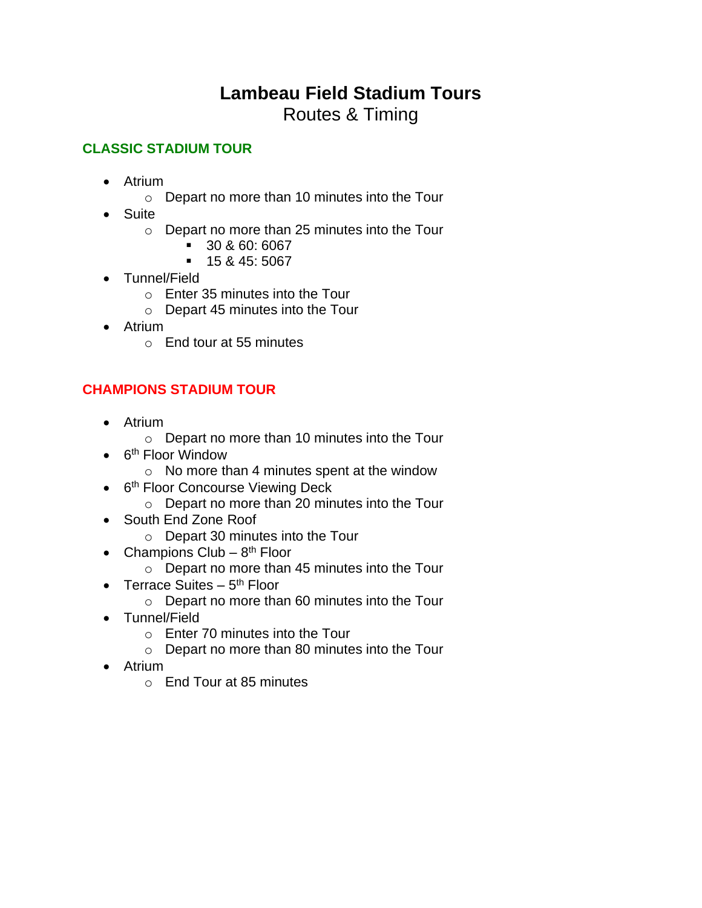# **Lambeau Field Stadium Tours** Routes & Timing

#### **CLASSIC STADIUM TOUR**

- Atrium
	- o Depart no more than 10 minutes into the Tour
- Suite
	- o Depart no more than 25 minutes into the Tour
		- 30 & 60: 6067
		- 15 & 45: 5067
- Tunnel/Field
	- o Enter 35 minutes into the Tour
	- o Depart 45 minutes into the Tour
- Atrium
	- o End tour at 55 minutes

### **CHAMPIONS STADIUM TOUR**

- Atrium
	- o Depart no more than 10 minutes into the Tour
- 6<sup>th</sup> Floor Window
	- o No more than 4 minutes spent at the window
- 6<sup>th</sup> Floor Concourse Viewing Deck
	- o Depart no more than 20 minutes into the Tour
- South End Zone Roof
	- o Depart 30 minutes into the Tour
- Champions Club  $8<sup>th</sup>$  Floor
	- o Depart no more than 45 minutes into the Tour
- Terrace Suites  $-5<sup>th</sup>$  Floor
	- o Depart no more than 60 minutes into the Tour
- Tunnel/Field
	- $\circ$  Fnter 70 minutes into the Tour
	- o Depart no more than 80 minutes into the Tour
- Atrium
	- o End Tour at 85 minutes